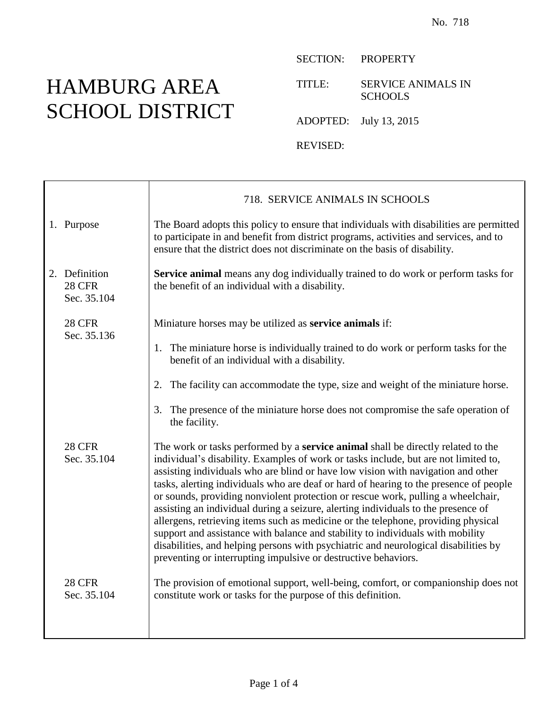## HAMBURG AREA SCHOOL DISTRICT

т

SECTION: PROPERTY

TITLE: SERVICE ANIMALS IN **SCHOOLS** 

ADOPTED: July 13, 2015

REVISED:

|                                               | 718. SERVICE ANIMALS IN SCHOOLS                                                                                                                                                                                                                                                                                                                                                                                                                                                                                                                                                                                                                                                                                                                                                                                                                                      |
|-----------------------------------------------|----------------------------------------------------------------------------------------------------------------------------------------------------------------------------------------------------------------------------------------------------------------------------------------------------------------------------------------------------------------------------------------------------------------------------------------------------------------------------------------------------------------------------------------------------------------------------------------------------------------------------------------------------------------------------------------------------------------------------------------------------------------------------------------------------------------------------------------------------------------------|
| 1. Purpose                                    | The Board adopts this policy to ensure that individuals with disabilities are permitted<br>to participate in and benefit from district programs, activities and services, and to<br>ensure that the district does not discriminate on the basis of disability.                                                                                                                                                                                                                                                                                                                                                                                                                                                                                                                                                                                                       |
| 2. Definition<br><b>28 CFR</b><br>Sec. 35.104 | Service animal means any dog individually trained to do work or perform tasks for<br>the benefit of an individual with a disability.                                                                                                                                                                                                                                                                                                                                                                                                                                                                                                                                                                                                                                                                                                                                 |
| <b>28 CFR</b><br>Sec. 35.136                  | Miniature horses may be utilized as service animals if:                                                                                                                                                                                                                                                                                                                                                                                                                                                                                                                                                                                                                                                                                                                                                                                                              |
|                                               | 1. The miniature horse is individually trained to do work or perform tasks for the<br>benefit of an individual with a disability.                                                                                                                                                                                                                                                                                                                                                                                                                                                                                                                                                                                                                                                                                                                                    |
|                                               | 2. The facility can accommodate the type, size and weight of the miniature horse.                                                                                                                                                                                                                                                                                                                                                                                                                                                                                                                                                                                                                                                                                                                                                                                    |
|                                               | The presence of the miniature horse does not compromise the safe operation of<br>3.<br>the facility.                                                                                                                                                                                                                                                                                                                                                                                                                                                                                                                                                                                                                                                                                                                                                                 |
| <b>28 CFR</b><br>Sec. 35.104                  | The work or tasks performed by a <b>service animal</b> shall be directly related to the<br>individual's disability. Examples of work or tasks include, but are not limited to,<br>assisting individuals who are blind or have low vision with navigation and other<br>tasks, alerting individuals who are deaf or hard of hearing to the presence of people<br>or sounds, providing nonviolent protection or rescue work, pulling a wheelchair,<br>assisting an individual during a seizure, alerting individuals to the presence of<br>allergens, retrieving items such as medicine or the telephone, providing physical<br>support and assistance with balance and stability to individuals with mobility<br>disabilities, and helping persons with psychiatric and neurological disabilities by<br>preventing or interrupting impulsive or destructive behaviors. |
| <b>28 CFR</b><br>Sec. 35.104                  | The provision of emotional support, well-being, comfort, or companionship does not<br>constitute work or tasks for the purpose of this definition.                                                                                                                                                                                                                                                                                                                                                                                                                                                                                                                                                                                                                                                                                                                   |
|                                               |                                                                                                                                                                                                                                                                                                                                                                                                                                                                                                                                                                                                                                                                                                                                                                                                                                                                      |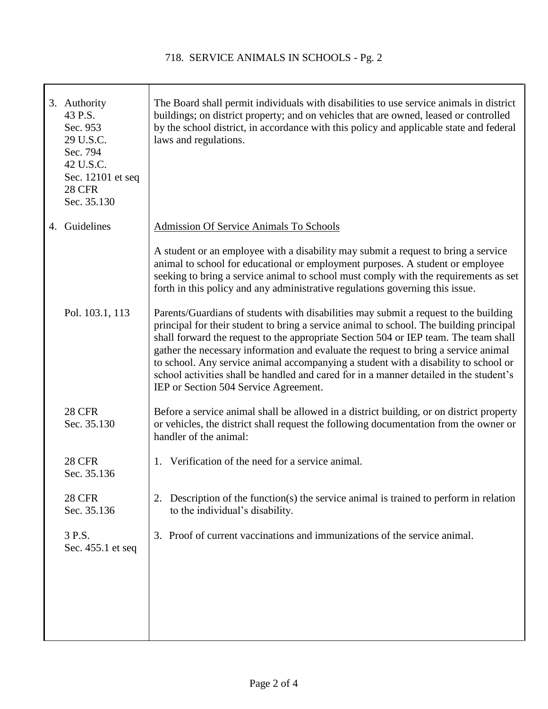| 3. Authority<br>43 P.S.<br>Sec. 953<br>29 U.S.C.<br>Sec. 794<br>42 U.S.C.<br>Sec. 12101 et seq<br><b>28 CFR</b><br>Sec. 35.130 | The Board shall permit individuals with disabilities to use service animals in district<br>buildings; on district property; and on vehicles that are owned, leased or controlled<br>by the school district, in accordance with this policy and applicable state and federal<br>laws and regulations.                                                                                                                                                                                                                                                                                     |
|--------------------------------------------------------------------------------------------------------------------------------|------------------------------------------------------------------------------------------------------------------------------------------------------------------------------------------------------------------------------------------------------------------------------------------------------------------------------------------------------------------------------------------------------------------------------------------------------------------------------------------------------------------------------------------------------------------------------------------|
| 4. Guidelines                                                                                                                  | <b>Admission Of Service Animals To Schools</b>                                                                                                                                                                                                                                                                                                                                                                                                                                                                                                                                           |
|                                                                                                                                | A student or an employee with a disability may submit a request to bring a service<br>animal to school for educational or employment purposes. A student or employee<br>seeking to bring a service animal to school must comply with the requirements as set<br>forth in this policy and any administrative regulations governing this issue.                                                                                                                                                                                                                                            |
| Pol. 103.1, 113                                                                                                                | Parents/Guardians of students with disabilities may submit a request to the building<br>principal for their student to bring a service animal to school. The building principal<br>shall forward the request to the appropriate Section 504 or IEP team. The team shall<br>gather the necessary information and evaluate the request to bring a service animal<br>to school. Any service animal accompanying a student with a disability to school or<br>school activities shall be handled and cared for in a manner detailed in the student's<br>IEP or Section 504 Service Agreement. |
| <b>28 CFR</b><br>Sec. 35.130                                                                                                   | Before a service animal shall be allowed in a district building, or on district property<br>or vehicles, the district shall request the following documentation from the owner or<br>handler of the animal:                                                                                                                                                                                                                                                                                                                                                                              |
| <b>28 CFR</b><br>Sec. 35.136                                                                                                   | Verification of the need for a service animal.<br>1.                                                                                                                                                                                                                                                                                                                                                                                                                                                                                                                                     |
| <b>28 CFR</b><br>Sec. 35.136                                                                                                   | 2. Description of the function(s) the service animal is trained to perform in relation<br>to the individual's disability.                                                                                                                                                                                                                                                                                                                                                                                                                                                                |
| 3 P.S.<br>Sec. 455.1 et seq                                                                                                    | 3. Proof of current vaccinations and immunizations of the service animal.                                                                                                                                                                                                                                                                                                                                                                                                                                                                                                                |
|                                                                                                                                |                                                                                                                                                                                                                                                                                                                                                                                                                                                                                                                                                                                          |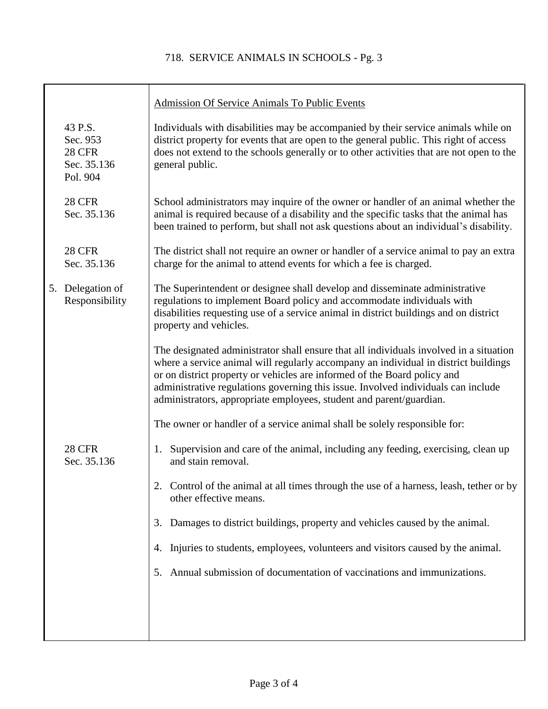## 718. SERVICE ANIMALS IN SCHOOLS - Pg. 3

|                                                                 | <b>Admission Of Service Animals To Public Events</b>                                                                                                                                                                                                                                                                                                                                                                  |
|-----------------------------------------------------------------|-----------------------------------------------------------------------------------------------------------------------------------------------------------------------------------------------------------------------------------------------------------------------------------------------------------------------------------------------------------------------------------------------------------------------|
| 43 P.S.<br>Sec. 953<br><b>28 CFR</b><br>Sec. 35.136<br>Pol. 904 | Individuals with disabilities may be accompanied by their service animals while on<br>district property for events that are open to the general public. This right of access<br>does not extend to the schools generally or to other activities that are not open to the<br>general public.                                                                                                                           |
| <b>28 CFR</b><br>Sec. 35.136                                    | School administrators may inquire of the owner or handler of an animal whether the<br>animal is required because of a disability and the specific tasks that the animal has<br>been trained to perform, but shall not ask questions about an individual's disability.                                                                                                                                                 |
| <b>28 CFR</b><br>Sec. 35.136                                    | The district shall not require an owner or handler of a service animal to pay an extra<br>charge for the animal to attend events for which a fee is charged.                                                                                                                                                                                                                                                          |
| 5. Delegation of<br>Responsibility                              | The Superintendent or designee shall develop and disseminate administrative<br>regulations to implement Board policy and accommodate individuals with<br>disabilities requesting use of a service animal in district buildings and on district<br>property and vehicles.                                                                                                                                              |
|                                                                 | The designated administrator shall ensure that all individuals involved in a situation<br>where a service animal will regularly accompany an individual in district buildings<br>or on district property or vehicles are informed of the Board policy and<br>administrative regulations governing this issue. Involved individuals can include<br>administrators, appropriate employees, student and parent/guardian. |
|                                                                 | The owner or handler of a service animal shall be solely responsible for:                                                                                                                                                                                                                                                                                                                                             |
| <b>28 CFR</b><br>Sec. 35.136                                    | Supervision and care of the animal, including any feeding, exercising, clean up<br>1.<br>and stain removal.                                                                                                                                                                                                                                                                                                           |
|                                                                 | 2. Control of the animal at all times through the use of a harness, leash, tether or by<br>other effective means.                                                                                                                                                                                                                                                                                                     |
|                                                                 | Damages to district buildings, property and vehicles caused by the animal.<br>3.                                                                                                                                                                                                                                                                                                                                      |
|                                                                 | Injuries to students, employees, volunteers and visitors caused by the animal.<br>4.                                                                                                                                                                                                                                                                                                                                  |
|                                                                 | Annual submission of documentation of vaccinations and immunizations.<br>5.                                                                                                                                                                                                                                                                                                                                           |
|                                                                 |                                                                                                                                                                                                                                                                                                                                                                                                                       |
|                                                                 |                                                                                                                                                                                                                                                                                                                                                                                                                       |